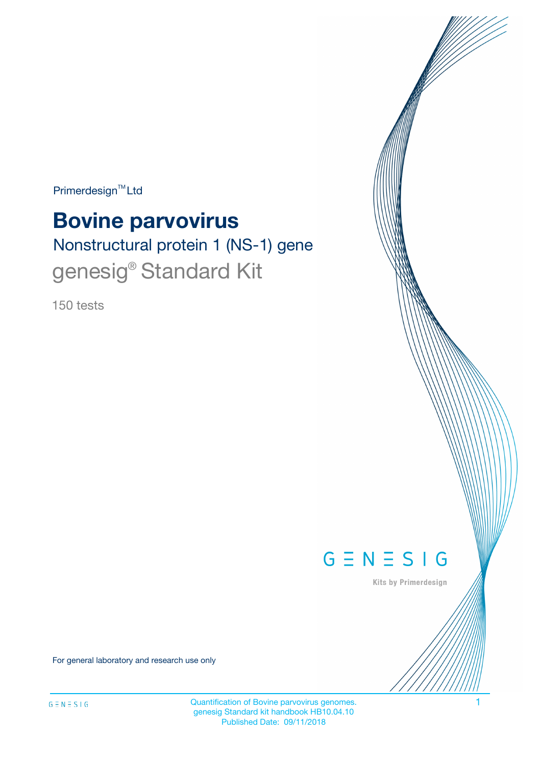$Primerdesign^{TM}$ Ltd

# **Bovine parvovirus**

Nonstructural protein 1 (NS-1) gene genesig<sup>®</sup> Standard Kit

150 tests



Kits by Primerdesign

For general laboratory and research use only

Quantification of Bovine parvovirus genomes. 1 genesig Standard kit handbook HB10.04.10 Published Date: 09/11/2018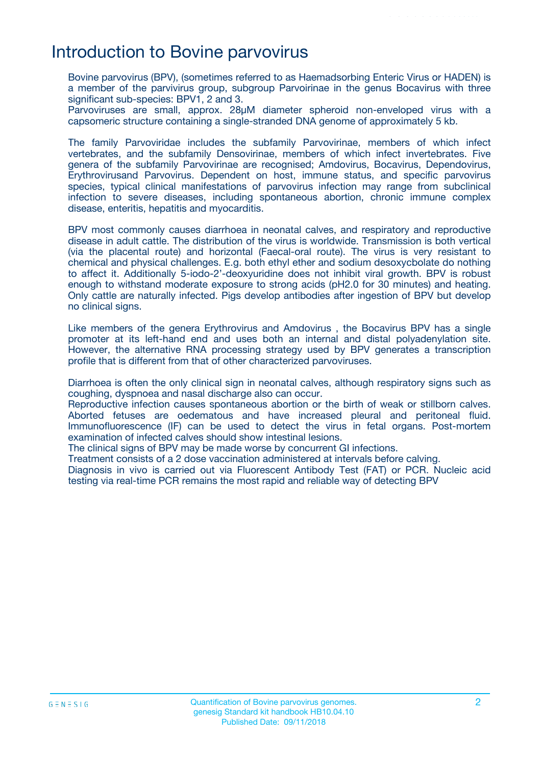## Introduction to Bovine parvovirus

Bovine parvovirus (BPV), (sometimes referred to as Haemadsorbing Enteric Virus or HADEN) is a member of the parvivirus group, subgroup Parvoirinae in the genus Bocavirus with three significant sub-species: BPV1, 2 and 3.

Parvoviruses are small, approx. 28μM diameter spheroid non-enveloped virus with a capsomeric structure containing a single-stranded DNA genome of approximately 5 kb.

The family Parvoviridae includes the subfamily Parvovirinae, members of which infect vertebrates, and the subfamily Densovirinae, members of which infect invertebrates. Five genera of the subfamily Parvovirinae are recognised; Amdovirus, Bocavirus, Dependovirus, Erythrovirusand Parvovirus. Dependent on host, immune status, and specific parvovirus species, typical clinical manifestations of parvovirus infection may range from subclinical infection to severe diseases, including spontaneous abortion, chronic immune complex disease, enteritis, hepatitis and myocarditis.

BPV most commonly causes diarrhoea in neonatal calves, and respiratory and reproductive disease in adult cattle. The distribution of the virus is worldwide. Transmission is both vertical (via the placental route) and horizontal (Faecal-oral route). The virus is very resistant to chemical and physical challenges. E.g. both ethyl ether and sodium desoxycbolate do nothing to affect it. Additionally 5-iodo-2'-deoxyuridine does not inhibit viral growth. BPV is robust enough to withstand moderate exposure to strong acids (pH2.0 for 30 minutes) and heating. Only cattle are naturally infected. Pigs develop antibodies after ingestion of BPV but develop no clinical signs.

Like members of the genera Erythrovirus and Amdovirus , the Bocavirus BPV has a single promoter at its left-hand end and uses both an internal and distal polyadenylation site. However, the alternative RNA processing strategy used by BPV generates a transcription profile that is different from that of other characterized parvoviruses.

Diarrhoea is often the only clinical sign in neonatal calves, although respiratory signs such as coughing, dyspnoea and nasal discharge also can occur.

Reproductive infection causes spontaneous abortion or the birth of weak or stillborn calves. Aborted fetuses are oedematous and have increased pleural and peritoneal fluid. Immunofluorescence (IF) can be used to detect the virus in fetal organs. Post-mortem examination of infected calves should show intestinal lesions.

The clinical signs of BPV may be made worse by concurrent GI infections.

Treatment consists of a 2 dose vaccination administered at intervals before calving.

Diagnosis in vivo is carried out via Fluorescent Antibody Test (FAT) or PCR. Nucleic acid testing via real-time PCR remains the most rapid and reliable way of detecting BPV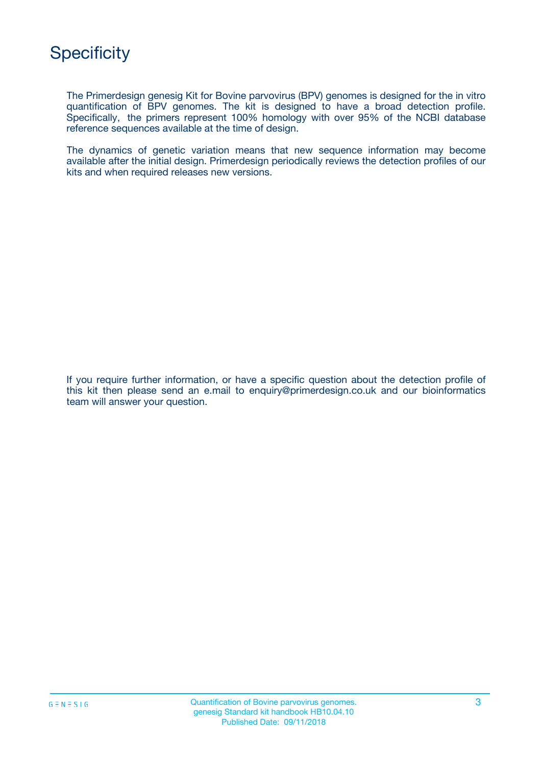

The Primerdesign genesig Kit for Bovine parvovirus (BPV) genomes is designed for the in vitro quantification of BPV genomes. The kit is designed to have a broad detection profile. Specifically, the primers represent 100% homology with over 95% of the NCBI database reference sequences available at the time of design.

The dynamics of genetic variation means that new sequence information may become available after the initial design. Primerdesign periodically reviews the detection profiles of our kits and when required releases new versions.

If you require further information, or have a specific question about the detection profile of this kit then please send an e.mail to enquiry@primerdesign.co.uk and our bioinformatics team will answer your question.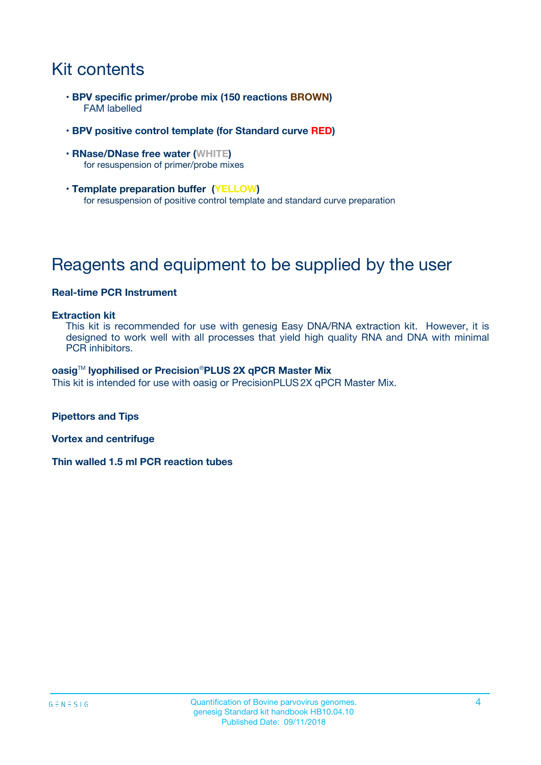# Kit contents

- **BPV specific primer/probe mix (150 reactions BROWN)** FAM labelled
- **BPV positive control template (for Standard curve RED)**
- **RNase/DNase free water (WHITE)** for resuspension of primer/probe mixes
- **Template preparation buffer (YELLOW)** for resuspension of positive control template and standard curve preparation

# Reagents and equipment to be supplied by the user

### **Real-time PCR Instrument**

#### **Extraction kit**

This kit is recommended for use with genesig Easy DNA/RNA extraction kit. However, it is designed to work well with all processes that yield high quality RNA and DNA with minimal PCR inhibitors.

#### **oasig**TM **lyophilised or Precision**®**PLUS 2X qPCR Master Mix**

This kit is intended for use with oasig or PrecisionPLUS2X qPCR Master Mix.

**Pipettors and Tips**

**Vortex and centrifuge**

**Thin walled 1.5 ml PCR reaction tubes**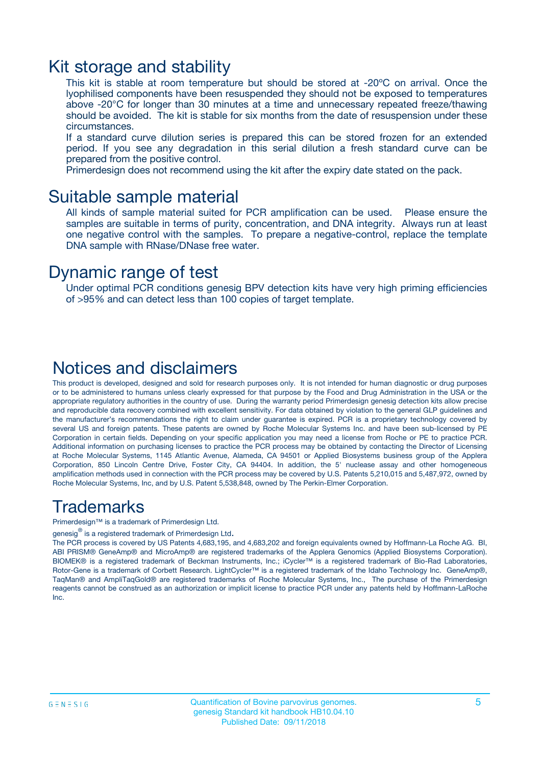### Kit storage and stability

This kit is stable at room temperature but should be stored at -20ºC on arrival. Once the lyophilised components have been resuspended they should not be exposed to temperatures above -20°C for longer than 30 minutes at a time and unnecessary repeated freeze/thawing should be avoided. The kit is stable for six months from the date of resuspension under these circumstances.

If a standard curve dilution series is prepared this can be stored frozen for an extended period. If you see any degradation in this serial dilution a fresh standard curve can be prepared from the positive control.

Primerdesign does not recommend using the kit after the expiry date stated on the pack.

### Suitable sample material

All kinds of sample material suited for PCR amplification can be used. Please ensure the samples are suitable in terms of purity, concentration, and DNA integrity. Always run at least one negative control with the samples. To prepare a negative-control, replace the template DNA sample with RNase/DNase free water.

### Dynamic range of test

Under optimal PCR conditions genesig BPV detection kits have very high priming efficiencies of >95% and can detect less than 100 copies of target template.

### Notices and disclaimers

This product is developed, designed and sold for research purposes only. It is not intended for human diagnostic or drug purposes or to be administered to humans unless clearly expressed for that purpose by the Food and Drug Administration in the USA or the appropriate regulatory authorities in the country of use. During the warranty period Primerdesign genesig detection kits allow precise and reproducible data recovery combined with excellent sensitivity. For data obtained by violation to the general GLP guidelines and the manufacturer's recommendations the right to claim under guarantee is expired. PCR is a proprietary technology covered by several US and foreign patents. These patents are owned by Roche Molecular Systems Inc. and have been sub-licensed by PE Corporation in certain fields. Depending on your specific application you may need a license from Roche or PE to practice PCR. Additional information on purchasing licenses to practice the PCR process may be obtained by contacting the Director of Licensing at Roche Molecular Systems, 1145 Atlantic Avenue, Alameda, CA 94501 or Applied Biosystems business group of the Applera Corporation, 850 Lincoln Centre Drive, Foster City, CA 94404. In addition, the 5' nuclease assay and other homogeneous amplification methods used in connection with the PCR process may be covered by U.S. Patents 5,210,015 and 5,487,972, owned by Roche Molecular Systems, Inc, and by U.S. Patent 5,538,848, owned by The Perkin-Elmer Corporation.

### Trademarks

Primerdesign™ is a trademark of Primerdesign Ltd.

genesig $^\circledR$  is a registered trademark of Primerdesign Ltd.

The PCR process is covered by US Patents 4,683,195, and 4,683,202 and foreign equivalents owned by Hoffmann-La Roche AG. BI, ABI PRISM® GeneAmp® and MicroAmp® are registered trademarks of the Applera Genomics (Applied Biosystems Corporation). BIOMEK® is a registered trademark of Beckman Instruments, Inc.; iCycler™ is a registered trademark of Bio-Rad Laboratories, Rotor-Gene is a trademark of Corbett Research. LightCycler™ is a registered trademark of the Idaho Technology Inc. GeneAmp®, TaqMan® and AmpliTaqGold® are registered trademarks of Roche Molecular Systems, Inc., The purchase of the Primerdesign reagents cannot be construed as an authorization or implicit license to practice PCR under any patents held by Hoffmann-LaRoche Inc.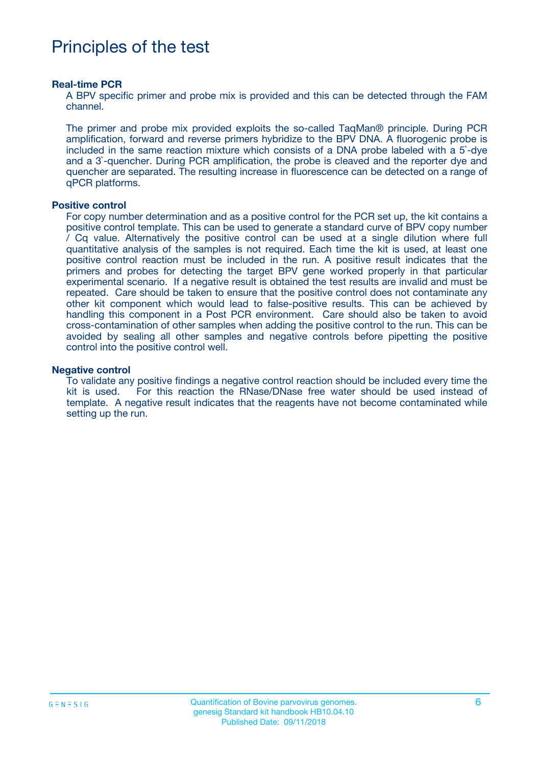# Principles of the test

#### **Real-time PCR**

A BPV specific primer and probe mix is provided and this can be detected through the FAM channel.

The primer and probe mix provided exploits the so-called TaqMan® principle. During PCR amplification, forward and reverse primers hybridize to the BPV DNA. A fluorogenic probe is included in the same reaction mixture which consists of a DNA probe labeled with a 5`-dye and a 3`-quencher. During PCR amplification, the probe is cleaved and the reporter dye and quencher are separated. The resulting increase in fluorescence can be detected on a range of qPCR platforms.

#### **Positive control**

For copy number determination and as a positive control for the PCR set up, the kit contains a positive control template. This can be used to generate a standard curve of BPV copy number / Cq value. Alternatively the positive control can be used at a single dilution where full quantitative analysis of the samples is not required. Each time the kit is used, at least one positive control reaction must be included in the run. A positive result indicates that the primers and probes for detecting the target BPV gene worked properly in that particular experimental scenario. If a negative result is obtained the test results are invalid and must be repeated. Care should be taken to ensure that the positive control does not contaminate any other kit component which would lead to false-positive results. This can be achieved by handling this component in a Post PCR environment. Care should also be taken to avoid cross-contamination of other samples when adding the positive control to the run. This can be avoided by sealing all other samples and negative controls before pipetting the positive control into the positive control well.

#### **Negative control**

To validate any positive findings a negative control reaction should be included every time the kit is used. For this reaction the RNase/DNase free water should be used instead of template. A negative result indicates that the reagents have not become contaminated while setting up the run.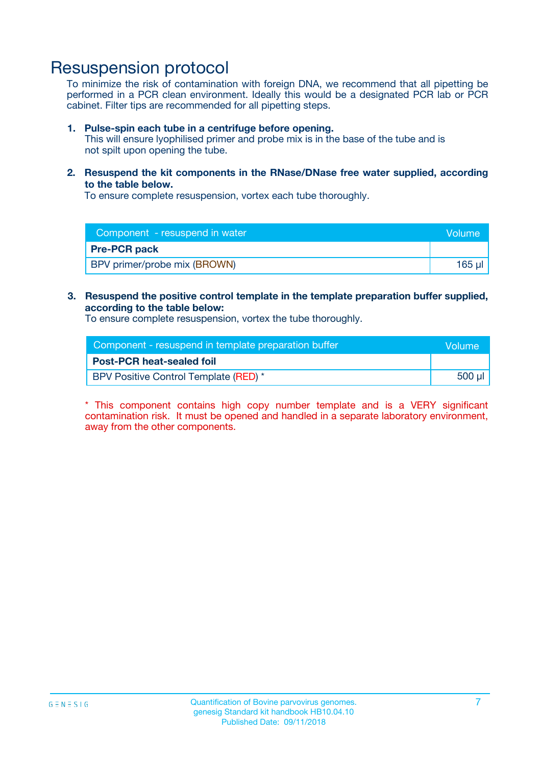## Resuspension protocol

To minimize the risk of contamination with foreign DNA, we recommend that all pipetting be performed in a PCR clean environment. Ideally this would be a designated PCR lab or PCR cabinet. Filter tips are recommended for all pipetting steps.

#### **1. Pulse-spin each tube in a centrifuge before opening.**

This will ensure lyophilised primer and probe mix is in the base of the tube and is not spilt upon opening the tube.

**2. Resuspend the kit components in the RNase/DNase free water supplied, according to the table below.**

To ensure complete resuspension, vortex each tube thoroughly.

| Component - resuspend in water      | Volume |
|-------------------------------------|--------|
| <b>Pre-PCR pack</b>                 |        |
| <b>BPV</b> primer/probe mix (BROWN) | 165    |

#### **3. Resuspend the positive control template in the template preparation buffer supplied, according to the table below:**

To ensure complete resuspension, vortex the tube thoroughly.

| Component - resuspend in template preparation buffer |        |  |
|------------------------------------------------------|--------|--|
| <b>Post-PCR heat-sealed foil</b>                     |        |  |
| BPV Positive Control Template (RED) *                | 500 µl |  |

\* This component contains high copy number template and is a VERY significant contamination risk. It must be opened and handled in a separate laboratory environment, away from the other components.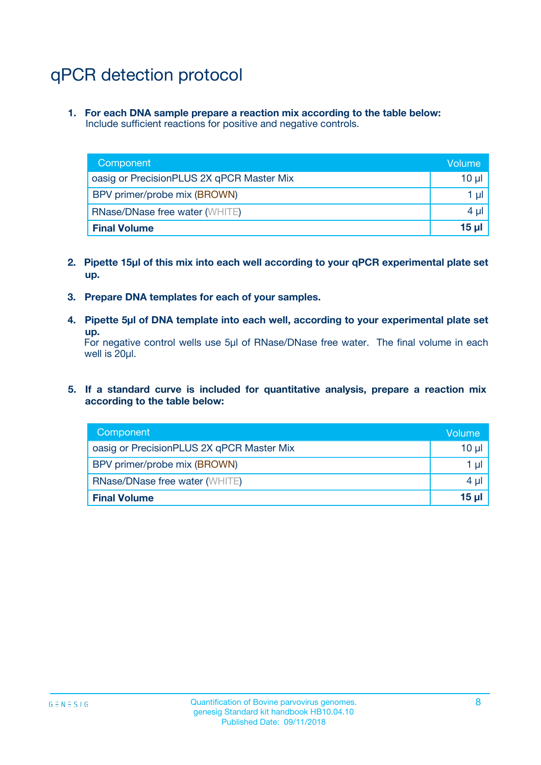# qPCR detection protocol

**1. For each DNA sample prepare a reaction mix according to the table below:** Include sufficient reactions for positive and negative controls.

| Component                                 | Volume          |
|-------------------------------------------|-----------------|
| oasig or PrecisionPLUS 2X qPCR Master Mix | 10 $\mu$        |
| BPV primer/probe mix (BROWN)              | 1 $\mu$         |
| <b>RNase/DNase free water (WHITE)</b>     | $4 \mu$         |
| <b>Final Volume</b>                       | 15 <sub>µ</sub> |

- **2. Pipette 15µl of this mix into each well according to your qPCR experimental plate set up.**
- **3. Prepare DNA templates for each of your samples.**
- **4. Pipette 5µl of DNA template into each well, according to your experimental plate set up.**

For negative control wells use 5µl of RNase/DNase free water. The final volume in each well is 20µl.

**5. If a standard curve is included for quantitative analysis, prepare a reaction mix according to the table below:**

| Component                                 | Volume          |
|-------------------------------------------|-----------------|
| oasig or PrecisionPLUS 2X qPCR Master Mix | 10 µl           |
| BPV primer/probe mix (BROWN)              | 1 µI            |
| <b>RNase/DNase free water (WHITE)</b>     | $4 \mu$         |
| <b>Final Volume</b>                       | 15 <sub>µ</sub> |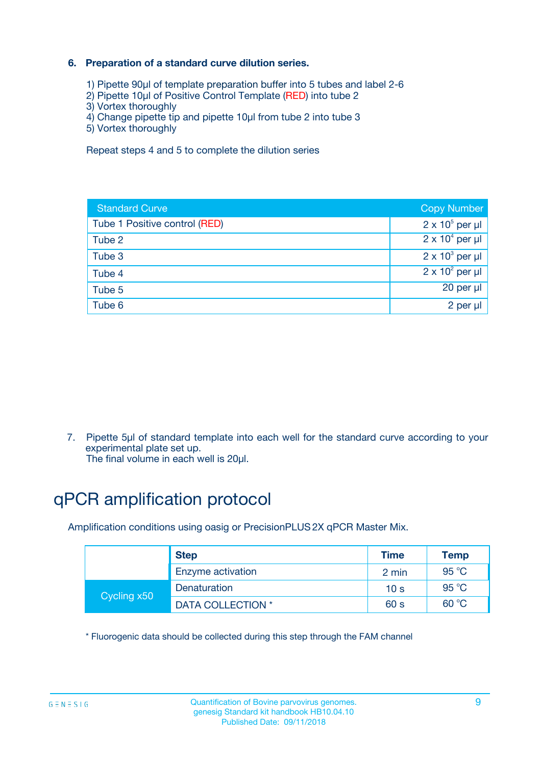### **6. Preparation of a standard curve dilution series.**

- 1) Pipette 90µl of template preparation buffer into 5 tubes and label 2-6
- 2) Pipette 10µl of Positive Control Template (RED) into tube 2
- 3) Vortex thoroughly
- 4) Change pipette tip and pipette 10µl from tube 2 into tube 3
- 5) Vortex thoroughly

Repeat steps 4 and 5 to complete the dilution series

| <b>Standard Curve</b>         | <b>Copy Number</b>     |
|-------------------------------|------------------------|
| Tube 1 Positive control (RED) | $2 \times 10^5$ per µl |
| Tube 2                        | $2 \times 10^4$ per µl |
| Tube 3                        | $2 \times 10^3$ per µl |
| Tube 4                        | $2 \times 10^2$ per µl |
| Tube 5                        | 20 per µl              |
| Tube 6                        | 2 per ul               |

7. Pipette 5µl of standard template into each well for the standard curve according to your experimental plate set up.

The final volume in each well is 20µl.

# qPCR amplification protocol

Amplification conditions using oasig or PrecisionPLUS2X qPCR Master Mix.

|             | <b>Step</b>       | <b>Time</b>     | Temp    |
|-------------|-------------------|-----------------|---------|
|             | Enzyme activation | 2 min           | 95 °C   |
| Cycling x50 | Denaturation      | 10 <sub>s</sub> | 95 $°C$ |
|             | DATA COLLECTION * | 60 s            | 60 °C   |

\* Fluorogenic data should be collected during this step through the FAM channel